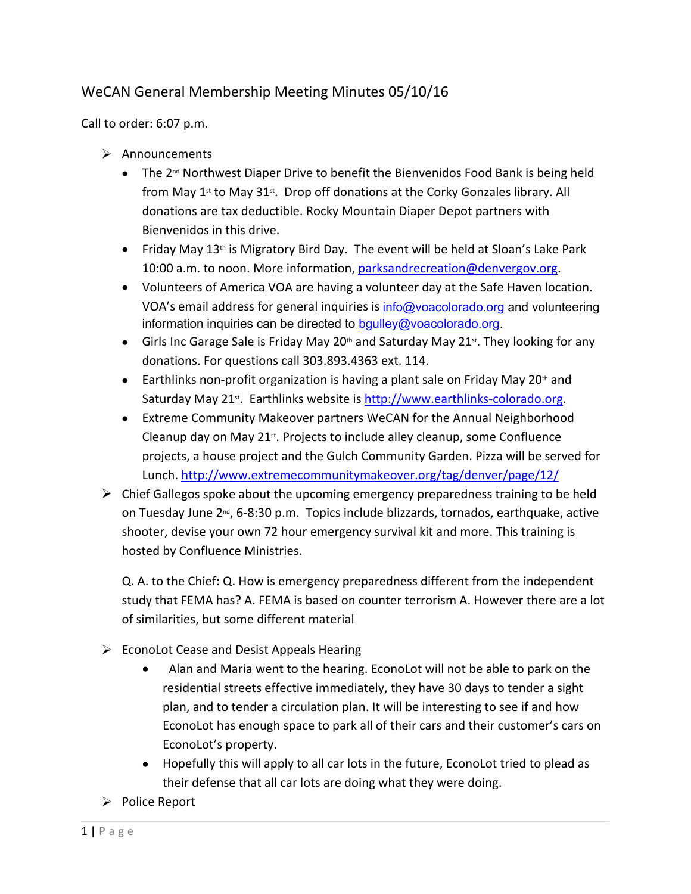## WeCAN General Membership Meeting Minutes 05/10/16

Call to order: 6:07 p.m.

- $\triangleright$  Announcements
	- $\bullet$  The 2<sup>nd</sup> Northwest Diaper Drive to benefit the Bienvenidos Food Bank is being held from May 1<sup>st</sup> to May 31<sup>st</sup>. Drop off donations at the Corky Gonzales library. All donations are tax deductible. Rocky Mountain Diaper Depot partners with Bienvenidos in this drive.
	- Friday May  $13<sup>th</sup>$  is Migratory Bird Day. The event will be held at Sloan's Lake Park 10:00 a.m. to noon. More information, [parksandrecreation@denvergov.org](mailto:parksandrecreation@denvergov.org).
	- Volunteers of America VOA are having a volunteer day at the Safe Haven location. VOA's email address for general inquiries is [info@voacolorado.org](mailto:info@voacolorado.org) and volunteering information inquiries can be directed to [bgulley@voacolorado.org.](mailto:bgulley@voacolorado.org)
	- Girls Inc Garage Sale is Friday May 20<sup>th</sup> and Saturday May 21<sup>st</sup>. They looking for any donations. For questions call 303.893.4363 ext. 114.
	- **Earthlinks non-profit organization is having a plant sale on Friday May 20**<sup>th</sup> and Saturday May 21<sup>st</sup>. Earthlinks website is <http://www.earthlinks-colorado.org>.
	- Extreme Community Makeover partners WeCAN for the Annual Neighborhood Cleanup day on May 21<sup>st</sup>. Projects to include alley cleanup, some Confluence projects, a house project and the Gulch Community Garden. Pizza will be served for Lunch. <http://www.extremecommunitymakeover.org/tag/denver/page/12/>
- $\triangleright$  Chief Gallegos spoke about the upcoming emergency preparedness training to be held on Tuesday June  $2^{nd}$ , 6-8:30 p.m. Topics include blizzards, tornados, earthquake, active shooter, devise your own 72 hour emergency survival kit and more. This training is hosted by Confluence Ministries.

Q. A. to the Chief: Q. How is emergency preparedness different from the independent study that FEMA has? A. FEMA is based on counter terrorism A. However there are a lot of similarities, but some different material

- $\triangleright$  EconoLot Cease and Desist Appeals Hearing
	- Alan and Maria went to the hearing. EconoLot will not be able to park on the residential streets effective immediately, they have 30 days to tender a sight plan, and to tender a circulation plan. It will be interesting to see if and how EconoLot has enough space to park all of their cars and their customer's cars on EconoLot's property.
	- Hopefully this will apply to all car lots in the future, EconoLot tried to plead as their defense that all car lots are doing what they were doing.
- $\triangleright$  Police Report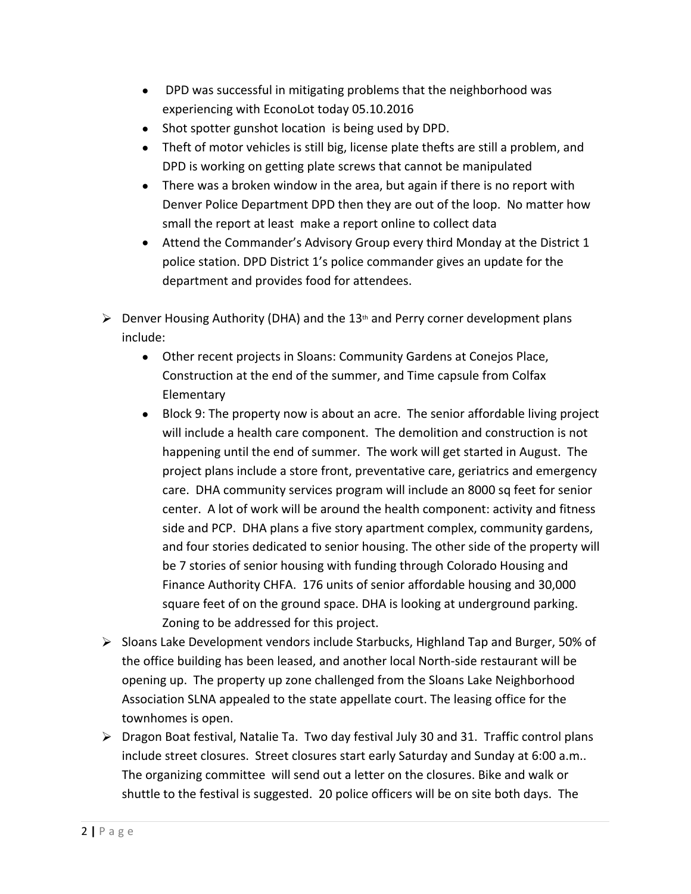- DPD was successful in mitigating problems that the neighborhood was experiencing with EconoLot today 05.10.2016
- Shot spotter gunshot location is being used by DPD.
- Theft of motor vehicles is still big, license plate thefts are still a problem, and DPD is working on getting plate screws that cannot be manipulated
- There was a broken window in the area, but again if there is no report with Denver Police Department DPD then they are out of the loop. No matter how small the report at least make a report online to collect data
- Attend the Commander's Advisory Group every third Monday at the District 1 police station. DPD District 1's police commander gives an update for the department and provides food for attendees.
- $\triangleright$  Denver Housing Authority (DHA) and the 13<sup>th</sup> and Perry corner development plans include:
	- Other recent projects in Sloans: Community Gardens at Conejos Place, Construction at the end of the summer, and Time capsule from Colfax Elementary
	- Block 9: The property now is about an acre. The senior affordable living project will include a health care component. The demolition and construction is not happening until the end of summer. The work will get started in August. The project plans include a store front, preventative care, geriatrics and emergency care. DHA community services program will include an 8000 sq feet for senior center. A lot of work will be around the health component: activity and fitness side and PCP. DHA plans a five story apartment complex, community gardens, and four stories dedicated to senior housing. The other side of the property will be 7 stories of senior housing with funding through Colorado Housing and Finance Authority CHFA. 176 units of senior affordable housing and 30,000 square feet of on the ground space. DHA is looking at underground parking. Zoning to be addressed for this project.
- Sloans Lake Development vendors include Starbucks, Highland Tap and Burger, 50% of the office building has been leased, and another local North-side restaurant will be opening up. The property up zone challenged from the Sloans Lake Neighborhood Association SLNA appealed to the state appellate court. The leasing office for the townhomes is open.
- Dragon Boat festival, Natalie Ta. Two day festival July 30 and 31. Traffic control plans include street closures. Street closures start early Saturday and Sunday at 6:00 a.m.. The organizing committee will send out a letter on the closures. Bike and walk or shuttle to the festival is suggested. 20 police officers will be on site both days. The